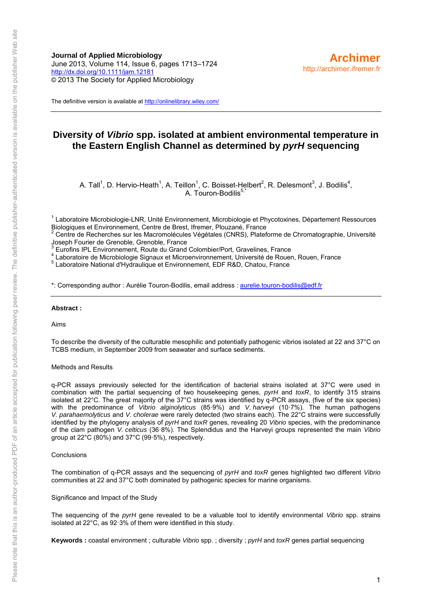**Journal of Applied Microbiology** June 2013, Volume 114, Issue 6, pages 1713–1724 <http://dx.doi.org/10.1111/jam.12181> © 2013 The Society for Applied Microbiology

The definitive version is available a[t http://onlinelibrary.wiley.com/](http://onlinelibrary.wiley.com/)

## **Diversity of** *Vibrio* **spp. isolated at ambient environmental temperature in the Eastern English Channel as determined by** *pyrH* **sequencing**

A. Tall<sup>1</sup>, D. Hervio-Heath<sup>1</sup>, A. Teillon<sup>1</sup>, C. Boisset-Helbert<sup>2</sup>, R. Delesmont<sup>3</sup>, J. Bodilis<sup>4</sup>, A. Touron-Bodilis<sup>5,\*</sup>

<sup>1</sup> Laboratoire Microbiologie-LNR, Unité Environnement, Microbiologie et Phycotoxines, Département Ressources Biologiques et Environnement, Centre de Brest, Ifremer, Plouzané, France

2 Centre de Recherches sur les Macromolécules Végétales (CNRS), Plateforme de Chromatographie, Université Joseph Fourier de Grenoble, Grenoble, France

<sup>3</sup> Eurofins IPL Environnement, Route du Grand Colombier/Port, Gravelines, France

4 Laboratoire de Microbiologie Signaux et Microenvironnement, Université de Rouen, Rouen, France

5 Laboratoire National d'Hydraulique et Environnement, EDF R&D, Chatou, France

\*: Corresponding author : Aurélie Touron-Bodilis, email address : [aurelie.touron-bodilis@edf.fr](mailto:aurelie.touron-bodilis@edf.fr) 

#### **Abstract :**

#### Aims

To describe the diversity of the culturable mesophilic and potentially pathogenic vibrios isolated at 22 and 37°C on TCBS medium, in September 2009 from seawater and surface sediments.

#### Methods and Results

q-PCR assays previously selected for the identification of bacterial strains isolated at 37°C were used in combination with the partial sequencing of two housekeeping genes, *pyrH* and *toxR*, to identify 315 strains isolated at 22°C. The great majority of the 37°C strains was identified by q-PCR assays, (five of the six species) with the predominance of *Vibrio alginolyticus* (85·9%) and *V. harveyi* (10·7%). The human pathogens *V. parahaemolyticus* and *V. cholerae* were rarely detected (two strains each). The 22°C strains were successfully identified by the phylogeny analysis of *pyrH* and *toxR* genes, revealing 20 *Vibrio* species, with the predominance of the clam pathogen *V. celticus* (36·8%). The Splendidus and the Harveyi groups represented the main *Vibrio* group at 22°C (80%) and 37°C (99·5%), respectively.

#### **Conclusions**

The combination of q-PCR assays and the sequencing of *pyrH* and *toxR* genes highlighted two different *Vibrio* communities at 22 and 37°C both dominated by pathogenic species for marine organisms.

#### Significance and Impact of the Study

The sequencing of the *pyrH* gene revealed to be a valuable tool to identify environmental *Vibrio* spp. strains isolated at 22°C, as 92·3% of them were identified in this study.

**Keywords :** coastal environment ; culturable *Vibrio* spp. ; diversity ; *pyrH* and *toxR* genes partial sequencing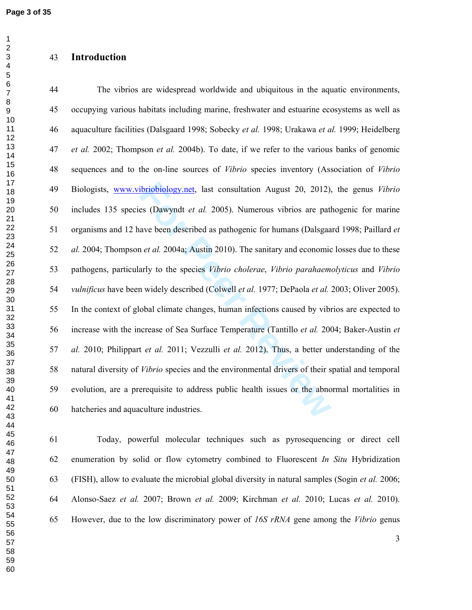$\mathbf{1}$ 

## **Introduction**

ibriobiology.net, last consultation August 20, 2012),<br>es (Dawyndt *et al.* 2005). Numerous vibrios are patl<br>ave been described as pathogenic for humans (Dalsgaa<br>n *et al.* 2004a; Austin 2010). The sanitary and economic<br>arl 44 The vibrios are widespread worldwide and ubiquitous in the aquatic environments, 45 occupying various habitats including marine, freshwater and estuarine ecosystems as well as 46 aquaculture facilities (Dalsgaard 1998; Sobecky *et al.* 1998; Urakawa *et al.* 1999; Heidelberg *et al.* 2002; Thompson *et al.* 2004b). To date, if we refer to the various banks of genomic 48 sequences and to the on-line sources of *Vibrio* species inventory (Association of *Vibrio* 49 Biologists, www.vibriobiology.net, last consultation August 20, 2012), the genus *Vibrio* 50 includes 135 species (Dawyndt *et al.* 2005). Numerous vibrios are pathogenic for marine 51 organisms and 12 have been described as pathogenic for humans (Dalsgaard 1998; Paillard *et al.* 2004; Thompson *et al.* 2004a; Austin 2010). The sanitary and economic losses due to these 53 pathogens, particularly to the species *Vibrio cholerae*, *Vibrio parahaemolyticus* and *Vibrio vulnificus* have been widely described (Colwell *et al.* 1977; DePaola *et al.* 2003; Oliver 2005). 55 In the context of global climate changes, human infections caused by vibrios are expected to 56 increase with the increase of Sea Surface Temperature (Tantillo *et al.* 2004; Baker-Austin *et al.* 2010; Philippart *et al.* 2011; Vezzulli *et al.* 2012). Thus, a better understanding of the 58 natural diversity of *Vibrio* species and the environmental drivers of their spatial and temporal 59 evolution, are a prerequisite to address public health issues or the abnormal mortalities in 60 hatcheries and aquaculture industries.

61 Today, powerful molecular techniques such as pyrosequencing or direct cell 62 enumeration by solid or flow cytometry combined to Fluorescent *In Situ* Hybridization 63 (FISH), allow to evaluate the microbial global diversity in natural samples (Sogin *et al.* 2006; 64 Alonso-Saez *et al.* 2007; Brown *et al.* 2009; Kirchman *et al.* 2010; Lucas *et al.* 2010). 65 However, due to the low discriminatory power of *16S rRNA* gene among the *Vibrio* genus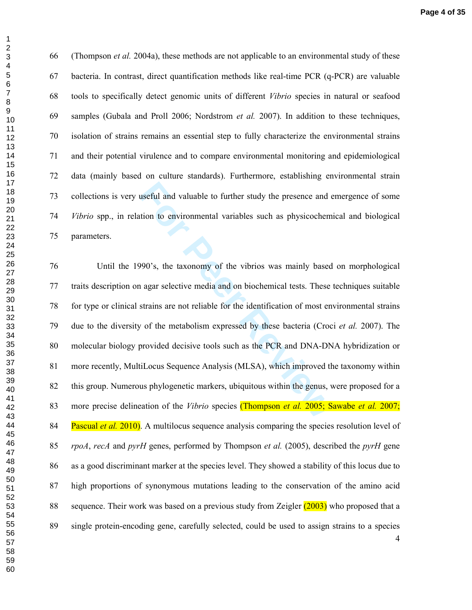66 (Thompson *et al.* 2004a), these methods are not applicable to an environmental study of these 67 bacteria. In contrast, direct quantification methods like real-time PCR (q-PCR) are valuable 68 tools to specifically detect genomic units of different *Vibrio* species in natural or seafood 69 samples (Gubala and Proll 2006; Nordstrom *et al.* 2007). In addition to these techniques, 70 isolation of strains remains an essential step to fully characterize the environmental strains 71 and their potential virulence and to compare environmental monitoring and epidemiological 72 data (mainly based on culture standards). Furthermore, establishing environmental strain 73 collections is very useful and valuable to further study the presence and emergence of some *Vibrio* spp., in relation to environmental variables such as physicochemical and biological 75 parameters.

useful and valuable to further study the presence and exercit and valuable to further study the presence and exercition to environmental variables such as physicochem<br>
990's, the taxonomy of the vibrios was mainly based<br>
1 76 Until the 1990's, the taxonomy of the vibrios was mainly based on morphological 77 traits description on agar selective media and on biochemical tests. These techniques suitable 78 for type or clinical strains are not reliable for the identification of most environmental strains 79 due to the diversity of the metabolism expressed by these bacteria (Croci *et al.* 2007). The 80 molecular biology provided decisive tools such as the PCR and DNA-DNA hybridization or 81 more recently, MultiLocus Sequence Analysis (MLSA), which improved the taxonomy within 82 this group. Numerous phylogenetic markers, ubiquitous within the genus, were proposed for a 83 more precise delineation of the *Vibrio* species (Thompson *et al.* 2005; Sawabe *et al.* 2007; 84 Pascual *et al.* 2010). A multilocus sequence analysis comparing the species resolution level of *rpoA*, *recA* and *pyrH* genes, performed by Thompson *et al.* (2005), described the *pyrH* gene 86 as a good discriminant marker at the species level. They showed a stability of this locus due to 87 high proportions of synonymous mutations leading to the conservation of the amino acid 88 sequence. Their work was based on a previous study from Zeigler  $(2003)$  who proposed that a 89 single protein-encoding gene, carefully selected, could be used to assign strains to a species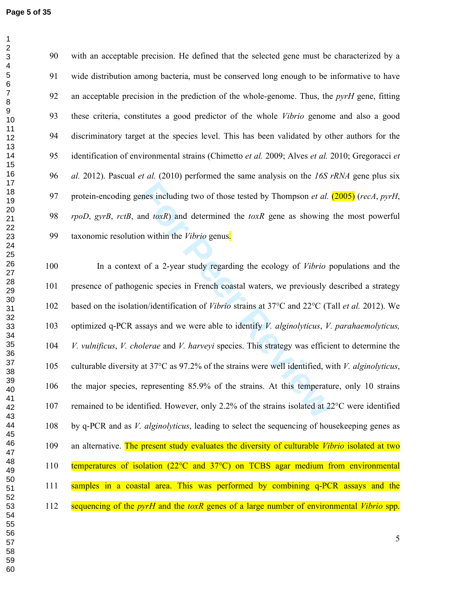90 with an acceptable precision. He defined that the selected gene must be characterized by a 91 wide distribution among bacteria, must be conserved long enough to be informative to have 92 an acceptable precision in the prediction of the whole-genome. Thus, the *pyrH* gene, fitting 93 these criteria, constitutes a good predictor of the whole *Vibrio* genome and also a good 94 discriminatory target at the species level. This has been validated by other authors for the 95 identification of environmental strains (Chimetto *et al.* 2009; Alves *et al.* 2010; Gregoracci *et al.* 2012). Pascual *et al.* (2010) performed the same analysis on the *16S rRNA* gene plus six 97 protein-encoding genes including two of those tested by Thompson *et al.* (2005) (*recA*, *pyrH*, *rpoD*, *gyrB*, *rctB*, and *toxR* ) and determined the *toxR* gene as showing the most powerful 99 taxonomic resolution within the *Vibrio* genus.

enes including two of those tested by Thompson *et al.*<br>
und *toxR*) and determined the *toxR* gene as showing<br>
on within the *Vibrio* genus.<br>
t of a 2-year study regarding the ecology of *Vibrio* p<br>
enic species in Frenc 100 In a context of a 2-year study regarding the ecology of *Vibrio* populations and the 101 presence of pathogenic species in French coastal waters, we previously described a strategy 102 based on the isolation/identification of *Vibrio* strains at 37°C and 22°C (Tall *et al.* 2012). We 103 optimized q-PCR assays and we were able to identify *V. alginolyticus*, *V. parahaemolyticus, V. vulnificus*, *V. cholerae* and *V. harveyi* species. This strategy was efficient to determine the 105 culturable diversity at 37°C as 97.2% of the strains were well identified, with *V. alginolyticus* , 106 the major species, representing 85.9% of the strains. At this temperature, only 10 strains 107 remained to be identified. However, only 2.2% of the strains isolated at 22°C were identified 108 by q-PCR and as *V. alginolyticus*, leading to select the sequencing of housekeeping genes as 109 an alternative. The present study evaluates the diversity of culturable *Vibrio* isolated at two 110 temperatures of isolation (22°C and 37°C) on TCBS agar medium from environmental 111 samples in a coastal area. This was performed by combining q-PCR assays and the 112 sequencing of the *pyrH* and the *toxR* genes of a large number of environmental *Vibrio* spp.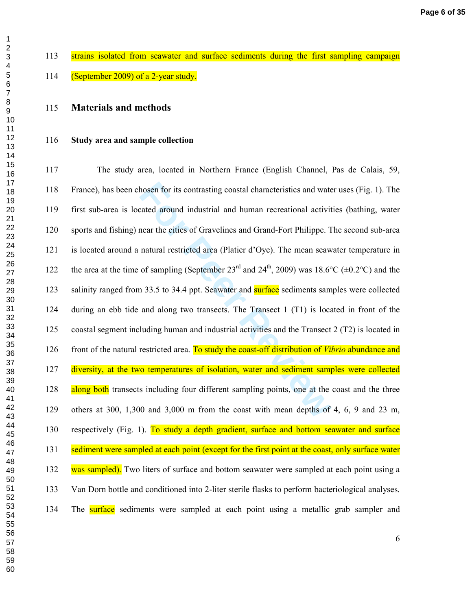$\overline{2}$ 

## **Materials and methods**

#### **Study area and sample collection**

hosen for its contrasting coastal characteristics and wate<br>cated around industrial and human recreational activit<br>near the cities of Gravelines and Grand-Fort Philippe. T<br>natural restricted area (Platier d'Oye). The mean s 117 The study area, located in Northern France (English Channel, Pas de Calais, 59, 118 France), has been chosen for its contrasting coastal characteristics and water uses (Fig. 1). The 119 first sub-area is located around industrial and human recreational activities (bathing, water 120 sports and fishing) near the cities of Gravelines and Grand-Fort Philippe. The second sub-area 121 is located around a natural restricted area (Platier d'Oye). The mean seawater temperature in 122 the area at the time of sampling (September 23<sup>rd</sup> and 24<sup>th</sup>, 2009) was 18.6°C ( $\pm$ 0.2°C) and the 123 salinity ranged from 33.5 to 34.4 ppt. Seawater and **surface** sediments samples were collected 124 during an ebb tide and along two transects. The Transect 1 (T1) is located in front of the 125 coastal segment including human and industrial activities and the Transect 2 (T2) is located in 126 front of the natural restricted area. To study the coast-off distribution of *Vibrio* abundance and 127 diversity, at the two temperatures of isolation, water and sediment samples were collected 128 along both transects including four different sampling points, one at the coast and the three 129 others at 300, 1,300 and 3,000 m from the coast with mean depths of 4, 6, 9 and 23 m, 130 respectively (Fig. 1). To study a depth gradient, surface and bottom seawater and surface 131 sediment were sampled at each point (except for the first point at the coast, only surface water 132 was sampled). Two liters of surface and bottom seawater were sampled at each point using a 133 Van Dorn bottle and conditioned into 2-liter sterile flasks to perform bacteriological analyses. 134 The surface sediments were sampled at each point using a metallic grab sampler and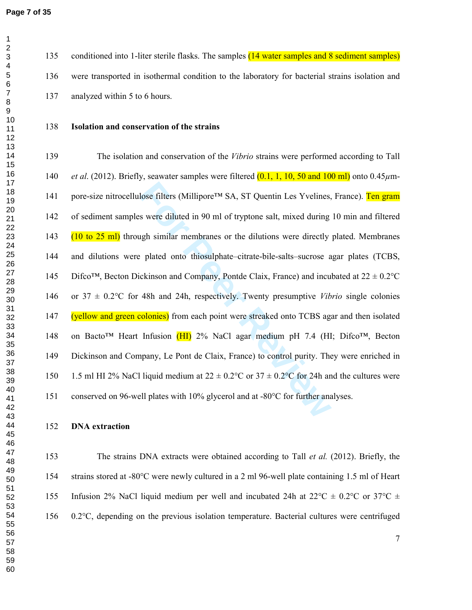135 conditioned into 1-liter sterile flasks. The samples (14 water samples and 8 sediment samples) 136 were transported in isothermal condition to the laboratory for bacterial strains isolation and 137 analyzed within 5 to 6 hours.

## **Isolation and conservation of the strains**

lose filters (Millipore<sup>TM</sup> SA, ST Quentin Les Yvelines,<br>s were diluted in 90 ml of tryptone salt, mixed during<br>ugh similar membranes or the dilutions were directly<br>r plated onto thiosulphate–citrate-bile-salts–sucrose a<br> 139 The isolation and conservation of the *Vibrio* strains were performed according to Tall *et al.* (2012). Briefly, seawater samples were filtered (0.1, 1, 10, 50 and 100 ml) onto 0.45μm-141 pore-size nitrocellulose filters (Millipore™ SA, ST Quentin Les Yvelines, France). Ten gram 142 of sediment samples were diluted in 90 ml of tryptone salt, mixed during 10 min and filtered 143 (10 to 25 ml) through similar membranes or the dilutions were directly plated. Membranes 144 and dilutions were plated onto thiosulphate–citrate-bile-salts–sucrose agar plates (TCBS, 145 Difco<sup>™</sup>, Becton Dickinson and Company, Pontde Claix, France) and incubated at  $22 \pm 0.2$ °C 146 or 37 ± 0.2°C for 48h and 24h, respectively. Twenty presumptive *Vibrio* single colonies 147 (yellow and green colonies) from each point were streaked onto TCBS agar and then isolated 148 on Bacto™ Heart Infusion (HI) 2% NaCl agar medium pH 7.4 (HI; Difco™, Becton 149 Dickinson and Company, Le Pont de Claix, France) to control purity. They were enriched in 150 1.5 ml HI 2% NaCl liquid medium at  $22 \pm 0.2^{\circ}$ C or  $37 \pm 0.2^{\circ}$ C for 24h and the cultures were 151 conserved on 96-well plates with 10% glycerol and at -80°C for further analyses.

#### **DNA extraction**

153 The strains DNA extracts were obtained according to Tall *et al.* (2012). Briefly, the 154 strains stored at -80°C were newly cultured in a 2 ml 96-well plate containing 1.5 ml of Heart 155 Infusion 2% NaCl liquid medium per well and incubated 24h at  $22^{\circ}C \pm 0.2^{\circ}C$  or  $37^{\circ}C \pm 1.2^{\circ}C$ 156 0.2°C, depending on the previous isolation temperature. Bacterial cultures were centrifuged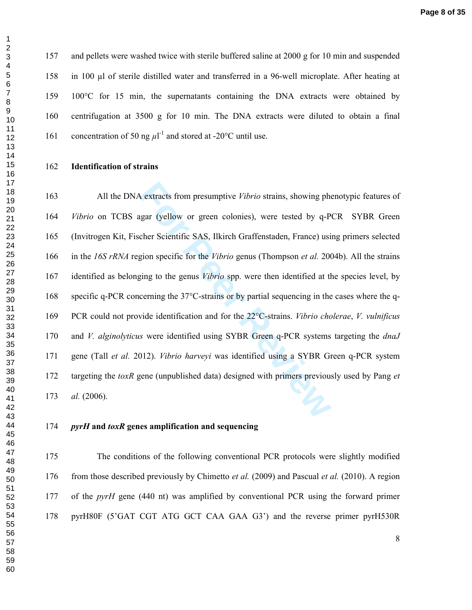157 and pellets were washed twice with sterile buffered saline at 2000 g for 10 min and suspended 158 in 100 µl of sterile distilled water and transferred in a 96-well microplate. After heating at 159 100°C for 15 min, the supernatants containing the DNA extracts were obtained by 160 centrifugation at 3500 g for 10 min. The DNA extracts were diluted to obtain a final 161 concentration of 50 ng  $\mu$ <sup>1-1</sup> and stored at -20°C until use.

#### **Identification of strains**

A extracts from presumptive *Vibrio* strains, showing phagar (yellow or green colonies), were tested by q-Picher Scientific SAS, Ilkirch Graffenstaden, France) usigion specific for the *Vibrio* genus (Thompson *et al.* 200 163 All the DNA extracts from presumptive *Vibrio* strains, showing phenotypic features of *Vibrio* on TCBS agar (yellow or green colonies), were tested by q-PCR SYBR Green 165 (Invitrogen Kit, Fischer Scientific SAS, Ilkirch Graffenstaden, France) using primers selected 166 in the *16S rRNA* region specific for the *Vibrio* genus (Thompson *et al.* 2004b). All the strains 167 identified as belonging to the genus *Vibrio* spp. were then identified at the species level, by 168 specific q-PCR concerning the 37°C-strains or by partial sequencing in the cases where the q-169 PCR could not provide identification and for the 22°C-strains. *Vibrio cholerae*, *V. vulnificus*  170 and *V. alginolyticus* were identified using SYBR Green q-PCR systems targeting the *dnaJ* 171 gene (Tall *et al.* 2012). *Vibrio harveyi* was identified using a SYBR Green q-PCR system 172 targeting the *toxR* gene (unpublished data) designed with primers previously used by Pang *et al.* (2006).

#### *pyrH* **and** *toxR* **genes amplification and sequencing**

175 The conditions of the following conventional PCR protocols were slightly modified 176 from those described previously by Chimetto *et al.* (2009) and Pascual *et al.* (2010). A region 177 of the *pyrH* gene (440 nt) was amplified by conventional PCR using the forward primer 178 pyrH80F (5'GAT CGT ATG GCT CAA GAA G3') and the reverse primer pyrH530R

 $\overline{2}$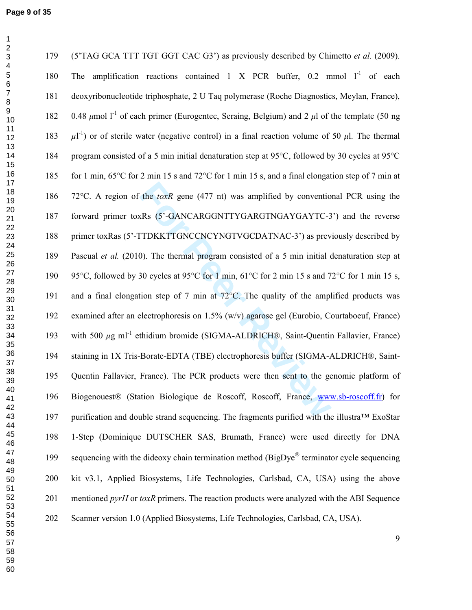$\mathbf 1$ 

| 179 | (5'TAG GCA TTT TGT GGT CAC G3') as previously described by Chimetto et al. (2009).                                   |
|-----|----------------------------------------------------------------------------------------------------------------------|
| 180 | amplification reactions contained 1 X PCR buffer, $0.2$ mmol $1^{-1}$ of each<br>The                                 |
| 181 | deoxyribonucleotide triphosphate, 2 U Taq polymerase (Roche Diagnostics, Meylan, France),                            |
| 182 | 0.48 $\mu$ mol l <sup>-1</sup> of each primer (Eurogentec, Seraing, Belgium) and 2 $\mu$ l of the template (50 ng    |
| 183 | $\mu$ <sup>[-1</sup> ] or of sterile water (negative control) in a final reaction volume of 50 $\mu$ l. The thermal  |
| 184 | program consisted of a 5 min initial denaturation step at 95°C, followed by 30 cycles at 95°C                        |
| 185 | for 1 min, $65^{\circ}$ C for 2 min 15 s and 72 $^{\circ}$ C for 1 min 15 s, and a final elongation step of 7 min at |
| 186 | 72°C. A region of the <i>toxR</i> gene (477 nt) was amplified by conventional PCR using the                          |
| 187 | forward primer toxRs (5'-GANCARGGNTTYGARGTNGAYGAYTC-3') and the reverse                                              |
| 188 | primer toxRas (5'-TTDKKTTGNCCNCYNGTVGCDATNAC-3') as previously described by                                          |
| 189 | Pascual et al. (2010). The thermal program consisted of a 5 min initial denaturation step at                         |
| 190 | 95°C, followed by 30 cycles at 95°C for 1 min, 61°C for 2 min 15 s and 72°C for 1 min 15 s,                          |
| 191 | and a final elongation step of 7 min at $72^{\circ}$ C. The quality of the amplified products was                    |
| 192 | examined after an electrophoresis on 1.5% (w/v) agarose gel (Eurobio, Courtaboeuf, France)                           |
| 193 | with 500 $\mu$ g ml <sup>-1</sup> ethidium bromide (SIGMA-ALDRICH®, Saint-Quentin Fallavier, France)                 |
| 194 | staining in 1X Tris-Borate-EDTA (TBE) electrophoresis buffer (SIGMA-ALDRICH®, Saint-                                 |
| 195 | Quentin Fallavier, France). The PCR products were then sent to the genomic platform of                               |
| 196 | Biogenouest® (Station Biologique de Roscoff, Roscoff, France, www.sb-roscoff.fr) for                                 |
| 197 | purification and double strand sequencing. The fragments purified with the illustra™ ExoStar                         |
| 198 | 1-Step (Dominique DUTSCHER SAS, Brumath, France) were used directly for DNA                                          |
| 199 | sequencing with the dideoxy chain termination method (BigDye® terminator cycle sequencing                            |
| 200 | kit v3.1, Applied Biosystems, Life Technologies, Carlsbad, CA, USA) using the above                                  |
| 201 | mentioned pyrH or toxR primers. The reaction products were analyzed with the ABI Sequence                            |
| 202 | Scanner version 1.0 (Applied Biosystems, Life Technologies, Carlsbad, CA, USA).                                      |
|     |                                                                                                                      |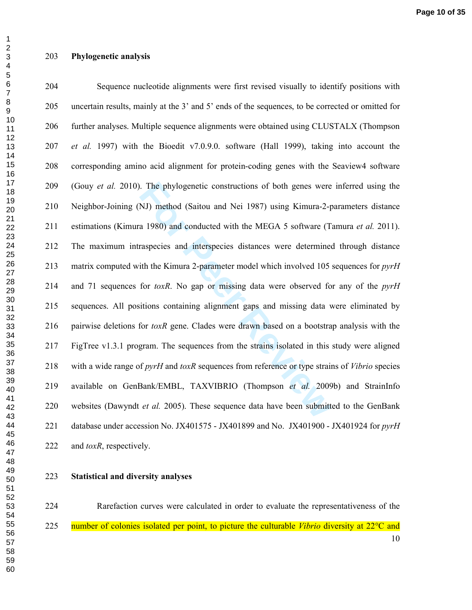#### **Phylogenetic analysis**

For Phylogenetic constructions of both genes were<br>**FORMAL SET ASSET ASSET ASSET ASSET ASSET ASSET ASSET ASSET ASSET ASSET ASSET ASSET ASSET ASSET ASSET AND AND AND ASSET AND ARE ASSET AND AND ASSET AND AND ANDEL STORY AND** 204 Sequence nucleotide alignments were first revised visually to identify positions with 205 uncertain results, mainly at the 3' and 5' ends of the sequences, to be corrected or omitted for 206 further analyses. Multiple sequence alignments were obtained using CLUSTALX (Thompson *et al.* 1997) with the Bioedit v7.0.9.0. software (Hall 1999), taking into account the 208 corresponding amino acid alignment for protein-coding genes with the Seaview4 software 209 (Gouy *et al.* 2010). The phylogenetic constructions of both genes were inferred using the 210 Neighbor-Joining (NJ) method (Saitou and Nei 1987) using Kimura-2-parameters distance 211 estimations (Kimura 1980) and conducted with the MEGA 5 software (Tamura *et al.* 2011). 212 The maximum intraspecies and interspecies distances were determined through distance 213 matrix computed with the Kimura 2-parameter model which involved 105 sequences for *pyrH* 214 and 71 sequences for *toxR*. No gap or missing data were observed for any of the *pyrH* 215 sequences. All positions containing alignment gaps and missing data were eliminated by 216 pairwise deletions for *toxR* gene. Clades were drawn based on a bootstrap analysis with the 217 FigTree v1.3.1 program. The sequences from the strains isolated in this study were aligned 218 with a wide range of *pyrH* and *toxR* sequences from reference or type strains of *Vibrio* species 219 available on GenBank/EMBL, TAXVIBRIO (Thompson *et al.* 2009b) and StrainInfo 220 websites (Dawyndt *et al.* 2005). These sequence data have been submitted to the GenBank 221 database under accession No. JX401575 - JX401899 and No. JX401900 - JX401924 for *pyrH* 222 and *toxR*, respectively.

**Statistical and diversity analyses** 

 224 Rarefaction curves were calculated in order to evaluate the representativeness of the 225 number of colonies isolated per point, to picture the culturable *Vibrio* diversity at 22°C and

 $\mathbf 1$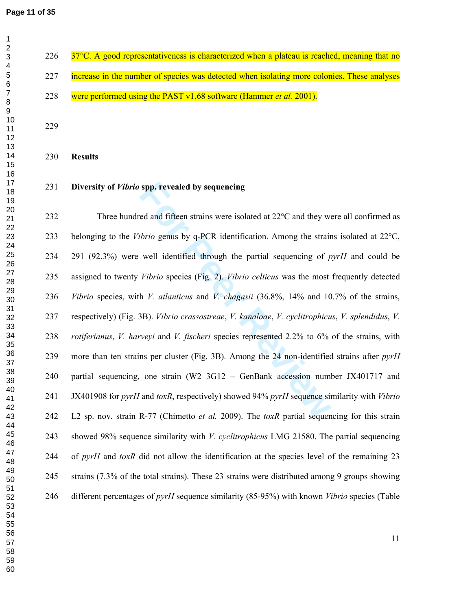$226 \frac{37^{\circ}C}{27^{\circ}C}$ . A good representativeness is characterized when a plateau is reached, meaning that no 227 increase in the number of species was detected when isolating more colonies. These analyses 228 were performed using the PAST v1.68 software (Hammer *et al.* 2001).

**Results** 

**Diversity of** *Vibrio* **spp. revealed by sequencing** 

spp. revealed by sequencing<br>
ed and fifteen strains were isolated at 22 $^{\circ}$ C and they we<br> *Forio* genus by q-PCR identification. Among the strain<br>
well identified through the partial sequencing of p<br> *Fibrio* species (F 232 Three hundred and fifteen strains were isolated at 22°C and they were all confirmed as 233 belonging to the *Vibrio* genus by q-PCR identification. Among the strains isolated at 22°C, 234 291 (92.3%) were well identified through the partial sequencing of *pyrH* and could be 235 assigned to twenty *Vibrio* species (Fig. 2). *Vibrio celticus* was the most frequently detected *Vibrio* species, with *V. atlanticus* and *V. chagasii* (36.8%, 14% and 10.7% of the strains, 237 respectively) (Fig. 3B). *Vibrio crassostreae*, *V. kanaloae*, *V. cyclitrophicus*, *V. splendidus*, *V. rotiferianus*, *V. harveyi* and *V. fischeri* species represented 2.2% to 6% of the strains, with 239 more than ten strains per cluster (Fig. 3B). Among the 24 non-identified strains after *pyrH* 240 partial sequencing, one strain (W2 3G12 – GenBank accession number JX401717 and 241 JX401908 for *pyrH* and *toxR*, respectively) showed 94% *pyrH* sequence similarity with *Vibrio* 242 L2 sp. nov. strain R-77 (Chimetto *et al.* 2009). The *toxR* partial sequencing for this strain 243 showed 98% sequence similarity with *V. cyclitrophicus* LMG 21580. The partial sequencing 244 of *pyrH* and *toxR* did not allow the identification at the species level of the remaining 23 245 strains (7.3% of the total strains). These 23 strains were distributed among 9 groups showing 246 different percentages of *pyrH* sequence similarity (85-95%) with known *Vibrio* species (Table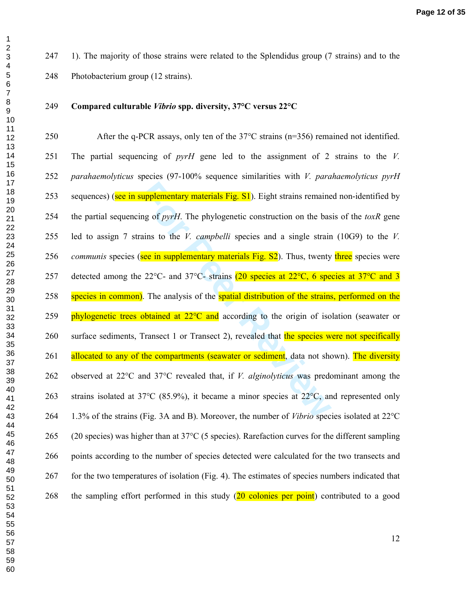247 1). The majority of those strains were related to the Splendidus group (7 strains) and to the 248 Photobacterium group (12 strains).

## **Compared culturable** *Vibrio* **spp. diversity, 37°C versus 22°C**

**Examplementary materials Fig. S1**). Eight strains remaine<br>ing of *pyrH*. The phylogenetic construction on the bas<br>ains to the *V. campbelli* species and a single strain<br>see in supplementary materials Fig. S2). Thus, twen 250 After the q-PCR assays, only ten of the 37°C strains (n=356) remained not identified. 251 The partial sequencing of *pyrH* gene led to the assignment of 2 strains to the *V. parahaemolyticus* species (97-100% sequence similarities with *V. parahaemolyticus pyrH* 253 sequences) (see in supplementary materials Fig. S1). Eight strains remained non-identified by 254 the partial sequencing of *pyrH*. The phylogenetic construction on the basis of the *toxR* gene 255 led to assign 7 strains to the *V. campbelli* species and a single strain (10G9) to the *V. communis* species (see in supplementary materials Fig. S2). Thus, twenty three species were 257 detected among the 22°C- and 37°C- strains (20 species at 22°C, 6 species at 37°C and 3 258 species in common). The analysis of the spatial distribution of the strains, performed on the 259 phylogenetic trees obtained at  $22^{\circ}$ C and according to the origin of isolation (seawater or 260 surface sediments, Transect 1 or Transect 2), revealed that the species were not specifically 261 allocated to any of the compartments (seawater or sediment, data not shown). The diversity 262 observed at 22°C and 37°C revealed that, if *V. alginolyticus* was predominant among the 263 strains isolated at 37 $\degree$ C (85.9%), it became a minor species at 22 $\degree$ C, and represented only 264 1.3% of the strains (Fig. 3A and B). Moreover, the number of *Vibrio* species isolated at 22°C 265 (20 species) was higher than at 37°C (5 species). Rarefaction curves for the different sampling 266 points according to the number of species detected were calculated for the two transects and 267 for the two temperatures of isolation (Fig. 4). The estimates of species numbers indicated that 268 the sampling effort performed in this study (20 colonies per point) contributed to a good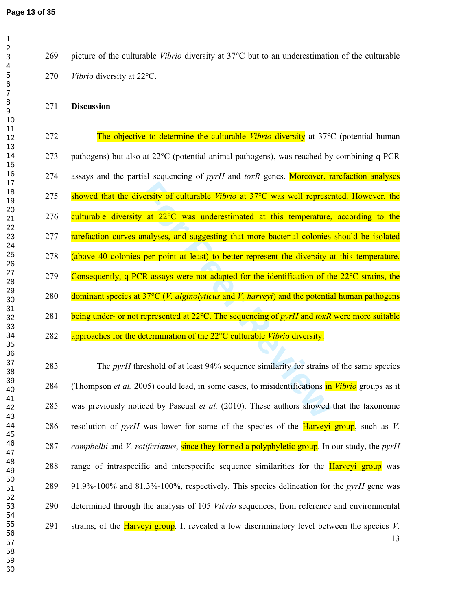269 picture of the culturable *Vibrio* diversity at 37°C but to an underestimation of the culturable *Vibrio* diversity at 22°C.

## **Discussion**

**For all EVALUATE CONSERVALUATE CONSERVALUATE V** at 22<sup>o</sup>C was underestimated at this temperature, analyses, and suggesting that more bacterial colonies per point at least) to better represent the diversity and  $\overline{R}$  a 272 The objective to determine the culturable *Vibrio* diversity at 37°C (potential human 273 pathogens) but also at 22°C (potential animal pathogens), was reached by combining q-PCR 274 assays and the partial sequencing of *pyrH* and *toxR* genes. Moreover, rarefaction analyses 275 showed that the diversity of culturable *Vibrio* at 37°C was well represented. However, the 276 culturable diversity at  $22^{\circ}$ C was underestimated at this temperature, according to the **rarefaction curves analyses, and suggesting that more bacterial colonies should be isolated** 278 (above 40 colonies per point at least) to better represent the diversity at this temperature. 279 Consequently, q-PCR assays were not adapted for the identification of the  $22^{\circ}$ C strains, the 280 dominant species at 37°C (*V. alginolyticus* and *V. harveyi*) and the potential human pathogens 281 being under- or not represented at 22°C. The sequencing of *pyrH* and *toxR* were more suitable 282 approaches for the determination of the 22°C culturable *Vibrio* diversity.

 283 The *pyrH* threshold of at least 94% sequence similarity for strains of the same species 284 (Thompson *et al.* 2005) could lead, in some cases, to misidentifications in *Vibrio* groups as it 285 was previously noticed by Pascual *et al.* (2010). These authors showed that the taxonomic 286 resolution of *pyrH* was lower for some of the species of the Harveyi group, such as *V. campbellii* and *V. rotiferianus*, since they formed a polyphyletic group. In our study, the *pyrH* 288 range of intraspecific and interspecific sequence similarities for the **Harveyi group** was 289 91.9%-100% and 81.3%-100%, respectively. This species delineation for the *pyrH* gene was 290 determined through the analysis of 105 *Vibrio* sequences, from reference and environmental 291 strains, of the Harveyi group. It revealed a low discriminatory level between the species *V.*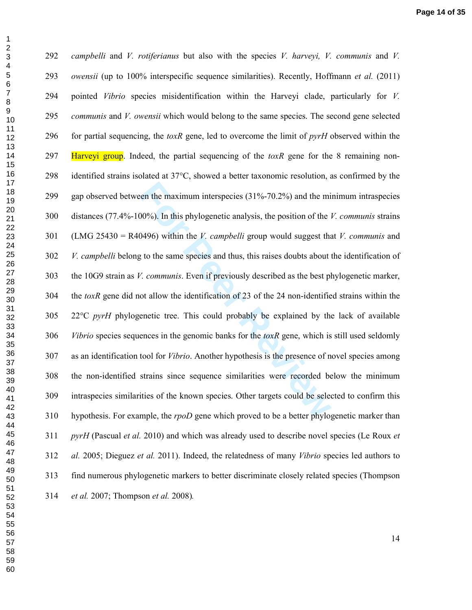$\mathbf 1$  $\overline{2}$ 

is the maximum interspecies (31%-70.2%) and the mi<br>
100%). In this phylogenetic analysis, the position of the 1<br>
10496) within the *V*. *campbelli* group would suggest tha<br>
10496) within the *V*. *campbelli* group would su *campbelli* and *V. rotiferianus* but also with the species *V. harveyi, V. communis* and *V. owensii* (up to 100% interspecific sequence similarities). Recently, Hoffmann *et al.* (2011) 294 pointed *Vibrio* species misidentification within the Harveyi clade, particularly for *V. communis* and *V. owensii* which would belong to the same species. The second gene selected 296 for partial sequencing, the *toxR* gene, led to overcome the limit of *pyrH* observed within the 297 Harveyi group. Indeed, the partial sequencing of the *toxR* gene for the 8 remaining non-298 identified strains isolated at 37°C, showed a better taxonomic resolution, as confirmed by the 299 gap observed between the maximum interspecies (31%-70.2%) and the minimum intraspecies 300 distances (77.4%-100%). In this phylogenetic analysis, the position of the *V. communis* strains 301 (LMG 25430 = R40496) within the *V. campbelli* group would suggest that *V. communis* and *V. campbelli* belong to the same species and thus, this raises doubts about the identification of 303 the 10G9 strain as *V. communis*. Even if previously described as the best phylogenetic marker, 304 the *toxR* gene did not allow the identification of 23 of the 24 non-identified strains within the 305 22°C *pyrH* phylogenetic tree. This could probably be explained by the lack of available *Vibrio* species sequences in the genomic banks for the *toxR* gene, which is still used seldomly 307 as an identification tool for *Vibrio*. Another hypothesis is the presence of novel species among 308 the non-identified strains since sequence similarities were recorded below the minimum 309 intraspecies similarities of the known species. Other targets could be selected to confirm this 310 hypothesis. For example, the *rpoD* gene which proved to be a better phylogenetic marker than *pyrH* (Pascual *et al.* 2010) and which was already used to describe novel species (Le Roux *et al.* 2005; Dieguez *et al.* 2011). Indeed, the relatedness of many *Vibrio* species led authors to 313 find numerous phylogenetic markers to better discriminate closely related species (Thompson *et al.* 2007; Thompson *et al.* 2008)*.*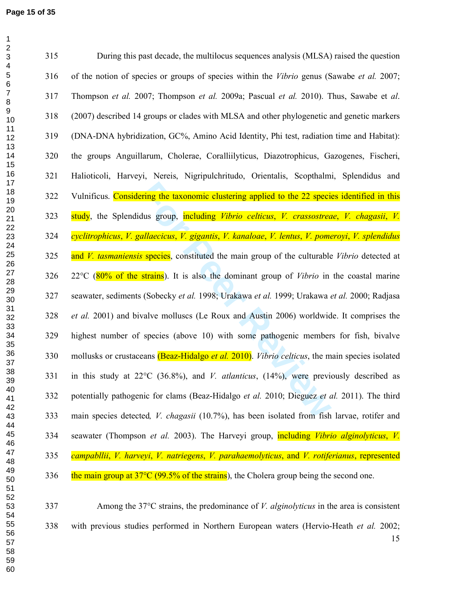| 315 | During this past decade, the multilocus sequences analysis (MLSA) raised the question                     |
|-----|-----------------------------------------------------------------------------------------------------------|
| 316 | of the notion of species or groups of species within the <i>Vibrio</i> genus (Sawabe et al. 2007;         |
| 317 | Thompson et al. 2007; Thompson et al. 2009a; Pascual et al. 2010). Thus, Sawabe et al.                    |
| 318 | (2007) described 14 groups or clades with MLSA and other phylogenetic and genetic markers                 |
| 319 | (DNA-DNA hybridization, GC%, Amino Acid Identity, Phi test, radiation time and Habitat):                  |
| 320 | the groups Anguillarum, Cholerae, Coralliilyticus, Diazotrophicus, Gazogenes, Fischeri,                   |
| 321 | Halioticoli, Harveyi, Nereis, Nigripulchritudo, Orientalis, Scopthalmi, Splendidus and                    |
| 322 | Vulnificus. Considering the taxonomic clustering applied to the 22 species identified in this             |
| 323 | study, the Splendidus group, including Vibrio celticus, V. crassostreae, V. chagasii, V.                  |
| 324 | cyclitrophicus, V. gallaecicus, V. gigantis, V. kanaloae, V. lentus, V. pomeroyi, V. splendidus           |
| 325 | and V. tasmaniensis species, constituted the main group of the culturable Vibrio detected at              |
| 326 | $22^{\circ}$ C (80% of the strains). It is also the dominant group of <i>Vibrio</i> in the coastal marine |
| 327 | seawater, sediments (Sobecky et al. 1998; Urakawa et al. 1999; Urakawa et al. 2000; Radjasa               |
| 328 | et al. 2001) and bivalve molluscs (Le Roux and Austin 2006) worldwide. It comprises the                   |
| 329 | highest number of species (above 10) with some pathogenic members for fish, bivalve                       |
| 330 | mollusks or crustaceans (Beaz-Hidalgo et al. 2010). Vibrio celticus, the main species isolated            |
| 331 | in this study at $22^{\circ}$ C (36.8%), and <i>V. atlanticus</i> , (14%), were previously described as   |
| 332 | potentially pathogenic for clams (Beaz-Hidalgo et al. 2010; Dieguez et al. 2011). The third               |
| 333 | main species detected, <i>V. chagasii</i> (10.7%), has been isolated from fish larvae, rotifer and        |
| 334 | seawater (Thompson et al. 2003). The Harveyi group, including Vibrio alginolyticus, V.                    |
| 335 | campabllii, V. harveyi, V. natriegens, V. parahaemolyticus, and V. rotiferianus, represented              |
| 336 | the main group at $37^{\circ}$ C (99.5% of the strains), the Cholera group being the second one.          |
| 337 | Among the $37^{\circ}$ C strains, the predominance of <i>V. alginolyticus</i> in the area is consistent   |
|     |                                                                                                           |
| 338 | with previous studies performed in Northern European waters (Hervio-Heath et al. 2002;                    |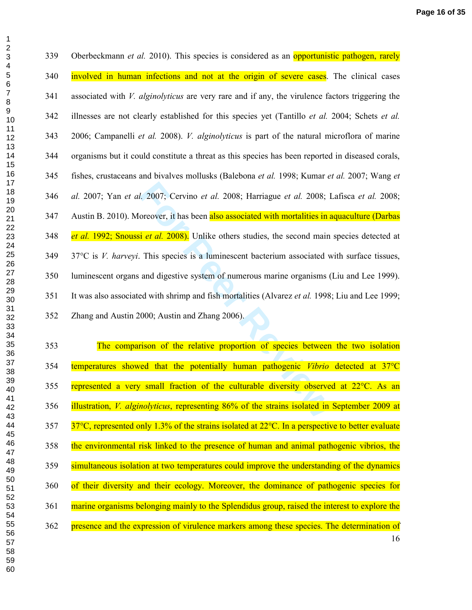*For Exerce 1. 2008*; Harriague *et al.* 2008; I<br>oreover, it has been also associated with mortalities in a<br>i *et al.* 2008). Unlike others studies, the second main<br>This species is a luminescent bacterium associated w<br>and 339 Oberbeckmann *et al.* 2010). This species is considered as an opportunistic pathogen, rarely 340 involved in human infections and not at the origin of severe cases. The clinical cases 341 associated with *V. alginolyticus* are very rare and if any, the virulence factors triggering the 342 illnesses are not clearly established for this species yet (Tantillo *et al.* 2004; Schets *et al.* 343 2006; Campanelli *et al.* 2008). *V. alginolyticus* is part of the natural microflora of marine 344 organisms but it could constitute a threat as this species has been reported in diseased corals, 345 fishes, crustaceans and bivalves mollusks (Balebona *et al.* 1998; Kumar *et al.* 2007; Wang *et al.* 2007; Yan *et al.* 2007; Cervino *et al.* 2008; Harriague *et al.* 2008; Lafisca *et al.* 2008; 347 Austin B. 2010). Moreover, it has been also associated with mortalities in aquaculture (Darbas *et al.* 1992; Snoussi *et al.* 2008). Unlike others studies, the second main species detected at 349 37°C is *V. harveyi*. This species is a luminescent bacterium associated with surface tissues, 350 luminescent organs and digestive system of numerous marine organisms (Liu and Lee 1999). 351 It was also associated with shrimp and fish mortalities (Alvarez *et al.* 1998; Liu and Lee 1999; 352 Zhang and Austin 2000; Austin and Zhang 2006).

 353 The comparison of the relative proportion of species between the two isolation 354 temperatures showed that the potentially human pathogenic *Vibrio* detected at 37°C 355 represented a very small fraction of the culturable diversity observed at 22°C. As an 356 illustration, *V. alginolyticus*, representing 86% of the strains isolated in September 2009 at  $357 \frac{37^{\circ}C}{27^{\circ}C}$ , represented only 1.3% of the strains isolated at 22 $^{\circ}C$ . In a perspective to better evaluate 358 the environmental risk linked to the presence of human and animal pathogenic vibrios, the 359 simultaneous isolation at two temperatures could improve the understanding of the dynamics 360 of their diversity and their ecology. Moreover, the dominance of pathogenic species for 361 marine organisms belonging mainly to the Splendidus group, raised the interest to explore the 362 presence and the expression of virulence markers among these species. The determination of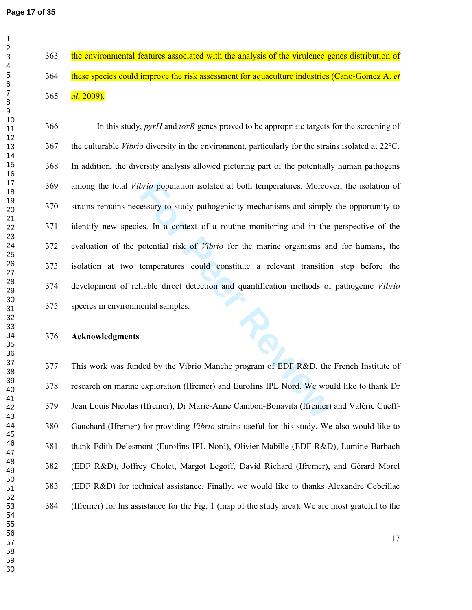363 the environmental features associated with the analysis of the virulence genes distribution of 364 these species could improve the risk assessment for aquaculture industries (Cano-Gomez A. *et al.* 2009).

*brio* population isolated at both temperatures. Moreovessary to study pathogenicity mechanisms and simply es. In a context of a routine monitoring and in the potential risk of *Vibrio* for the marine organisms and tempera 366 In this study, *pyrH* and *toxR* genes proved to be appropriate targets for the screening of 367 the culturable *Vibrio* diversity in the environment, particularly for the strains isolated at 22°C. 368 In addition, the diversity analysis allowed picturing part of the potentially human pathogens 369 among the total *Vibrio* population isolated at both temperatures. Moreover, the isolation of 370 strains remains necessary to study pathogenicity mechanisms and simply the opportunity to 371 identify new species. In a context of a routine monitoring and in the perspective of the 372 evaluation of the potential risk of *Vibrio* for the marine organisms and for humans, the 373 isolation at two temperatures could constitute a relevant transition step before the 374 development of reliable direct detection and quantification methods of pathogenic *Vibrio* 375 species in environmental samples.

#### **Acknowledgments**

377 This work was funded by the Vibrio Manche program of EDF R&D, the French Institute of 378 research on marine exploration (Ifremer) and Eurofins IPL Nord. We would like to thank Dr 379 Jean Louis Nicolas (Ifremer), Dr Marie-Anne Cambon-Bonavita (Ifremer) and Valérie Cueff-380 Gauchard (Ifremer) for providing *Vibrio* strains useful for this study. We also would like to 381 thank Edith Delesmont (Eurofins IPL Nord), Olivier Mabille (EDF R&D), Lamine Barbach 382 (EDF R&D), Joffrey Cholet, Margot Legoff, David Richard (Ifremer), and Gérard Morel 383 (EDF R&D) for technical assistance. Finally, we would like to thanks Alexandre Cebeillac 384 (Ifremer) for his assistance for the Fig. 1 (map of the study area). We are most grateful to the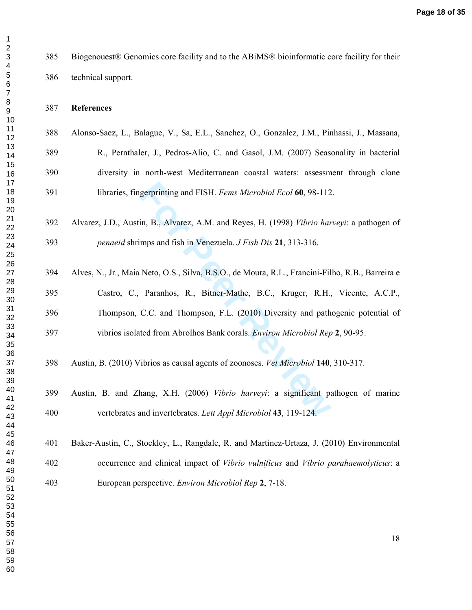| Biogenouest® Genomics core facility and to the ABiMS® bioinformatic core facility for their       |
|---------------------------------------------------------------------------------------------------|
| technical support.                                                                                |
| <b>References</b>                                                                                 |
| Alonso-Saez, L., Balague, V., Sa, E.L., Sanchez, O., Gonzalez, J.M., Pinhassi, J., Massana,       |
| R., Pernthaler, J., Pedros-Alio, C. and Gasol, J.M. (2007) Seasonality in bacterial               |
| diversity in north-west Mediterranean coastal waters: assessment through clone                    |
| libraries, fingerprinting and FISH. Fems Microbiol Ecol 60, 98-112.                               |
| Alvarez, J.D., Austin, B., Alvarez, A.M. and Reyes, H. (1998) Vibrio harveyi: a pathogen of       |
| <i>penaeid</i> shrimps and fish in Venezuela. <i>J Fish Dis</i> 21, 313-316.                      |
|                                                                                                   |
| Alves, N., Jr., Maia Neto, O.S., Silva, B.S.O., de Moura, R.L., Francini-Filho, R.B., Barreira e  |
| Castro, C., Paranhos, R., Bitner-Mathe, B.C., Kruger, R.H., Vicente, A.C.P.,                      |
| Thompson, C.C. and Thompson, F.L. (2010) Diversity and pathogenic potential of                    |
| vibrios isolated from Abrolhos Bank corals. Environ Microbiol Rep 2, 90-95.                       |
| Austin, B. (2010) Vibrios as causal agents of zoonoses. Vet Microbiol 140, 310-317.               |
| Austin, B. and Zhang, X.H. (2006) Vibrio harveyi: a significant pathogen of marine                |
| vertebrates and invertebrates. Lett Appl Microbiol 43, 119-124.                                   |
| Baker-Austin, C., Stockley, L., Rangdale, R. and Martinez-Urtaza, J. (2010) Environmental         |
| occurrence and clinical impact of <i>Vibrio vulnificus</i> and <i>Vibrio parahaemolyticus</i> : a |
| European perspective. Environ Microbiol Rep 2, 7-18.                                              |
| 18                                                                                                |
|                                                                                                   |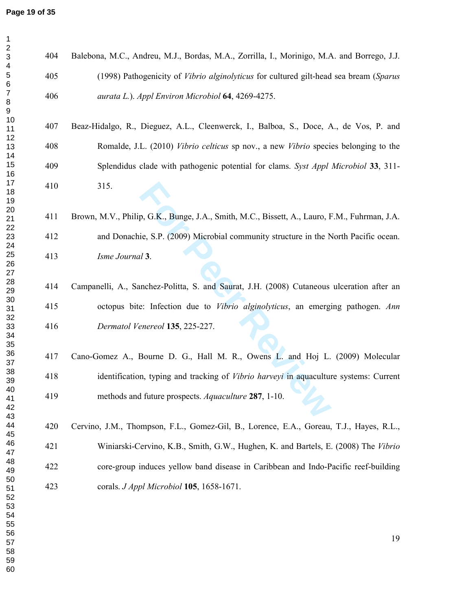$\mathbf 1$ 

| $\overline{c}$<br>$\ensuremath{\mathsf{3}}$ | 404 | Balebona, M.C., Andreu, M.J., Bordas, M.A., Zorrilla, I., Morinigo, M.A. and Borrego, J.J.   |
|---------------------------------------------|-----|----------------------------------------------------------------------------------------------|
| 4<br>$\mathbf 5$<br>6                       | 405 | (1998) Pathogenicity of <i>Vibrio alginolyticus</i> for cultured gilt-head sea bream (Sparus |
| $\boldsymbol{7}$<br>8<br>9                  | 406 | aurata L.). Appl Environ Microbiol 64, 4269-4275.                                            |
| 10<br>11                                    | 407 | Beaz-Hidalgo, R., Dieguez, A.L., Cleenwerck, I., Balboa, S., Doce, A., de Vos, P. and        |
| 12<br>13<br>14                              | 408 | Romalde, J.L. (2010) Vibrio celticus sp nov., a new Vibrio species belonging to the          |
| 15<br>16                                    | 409 | Splendidus clade with pathogenic potential for clams. Syst Appl Microbiol 33, 311-           |
| 17<br>18<br>19                              | 410 | 315.                                                                                         |
| 20<br>21<br>22                              | 411 | Brown, M.V., Philip, G.K., Bunge, J.A., Smith, M.C., Bissett, A., Lauro, F.M., Fuhrman, J.A. |
| 23<br>24                                    | 412 | and Donachie, S.P. (2009) Microbial community structure in the North Pacific ocean.          |
| 25<br>26<br>27                              | 413 | Isme Journal 3.                                                                              |
| 28<br>29                                    | 414 | Campanelli, A., Sanchez-Politta, S. and Saurat, J.H. (2008) Cutaneous ulceration after an    |
| 30<br>31                                    | 415 | octopus bite: Infection due to <i>Vibrio alginolyticus</i> , an emerging pathogen. Ann       |
| 32<br>33<br>34<br>35                        | 416 | Dermatol Venereol 135, 225-227.                                                              |
| 36<br>37                                    | 417 | Cano-Gomez A., Bourne D. G., Hall M. R., Owens L. and Hoj L. (2009) Molecular                |
| 38<br>39                                    | 418 | identification, typing and tracking of <i>Vibrio harveyi</i> in aquaculture systems: Current |
| 40<br>41<br>42                              | 419 | methods and future prospects. Aquaculture 287, 1-10.                                         |
| 43<br>44<br>45                              | 420 | Cervino, J.M., Thompson, F.L., Gomez-Gil, B., Lorence, E.A., Goreau, T.J., Hayes, R.L.,      |
| 46<br>47                                    | 421 | Winiarski-Cervino, K.B., Smith, G.W., Hughen, K. and Bartels, E. (2008) The Vibrio           |
| 48<br>49                                    | 422 | core-group induces yellow band disease in Caribbean and Indo-Pacific reef-building           |
| 50<br>51<br>52<br>53<br>54                  | 423 | corals. J Appl Microbiol 105, 1658-1671.                                                     |
| 55<br>56<br>57<br>58<br>E <sub>O</sub>      |     | 19                                                                                           |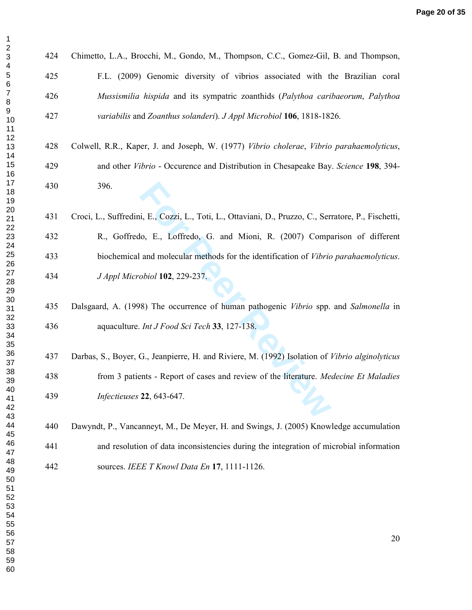$\mathbf 1$ 

| 424 | Chimetto, L.A., Brocchi, M., Gondo, M., Thompson, C.C., Gomez-Gil, B. and Thompson,                  |
|-----|------------------------------------------------------------------------------------------------------|
| 425 | F.L. (2009) Genomic diversity of vibrios associated with the Brazilian coral                         |
| 426 | Mussismilia hispida and its sympatric zoanthids (Palythoa caribaeorum, Palythoa                      |
| 427 | variabilis and Zoanthus solanderi). J Appl Microbiol 106, 1818-1826.                                 |
| 428 | Colwell, R.R., Kaper, J. and Joseph, W. (1977) Vibrio cholerae, Vibrio parahaemolyticus,             |
| 429 | and other Vibrio - Occurence and Distribution in Chesapeake Bay. Science 198, 394-                   |
| 430 | 396.                                                                                                 |
| 431 | Croci, L., Suffredini, E., Cozzi, L., Toti, L., Ottaviani, D., Pruzzo, C., Serratore, P., Fischetti, |
| 432 | R., Goffredo, E., Loffredo, G. and Mioni, R. (2007) Comparison of different                          |
| 433 | biochemical and molecular methods for the identification of <i>Vibrio parahaemolyticus</i> .         |
| 434 | J Appl Microbiol 102, 229-237.                                                                       |
| 435 | Dalsgaard, A. (1998) The occurrence of human pathogenic Vibrio spp. and Salmonella in                |
| 436 | aquaculture. Int J Food Sci Tech 33, 127-138.                                                        |
| 437 | Darbas, S., Boyer, G., Jeanpierre, H. and Riviere, M. (1992) Isolation of Vibrio alginolyticus       |
| 438 | from 3 patients - Report of cases and review of the literature. Medecine Et Maladies                 |
| 439 | Infectieuses 22, 643-647.                                                                            |
|     |                                                                                                      |

440 Dawyndt, P., Vancanneyt, M., De Meyer, H. and Swings, J. (2005) Knowledge accumulation 441 and resolution of data inconsistencies during the integration of microbial information 442 sources. *IEEE T Knowl Data En* **17**, 1111-1126.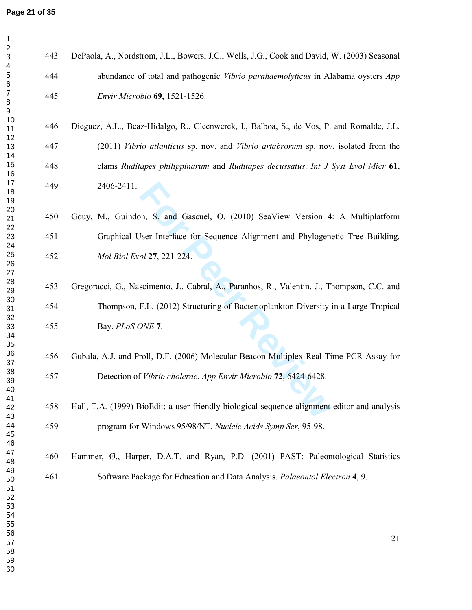$\begin{bmatrix} 7 \\ 8 \end{bmatrix}$  $\boldsymbol{9}$ 

2<br>3<br>4<br>5<br>6<br>6

 $\mathbf 1$ 

| 443 | DePaola, A., Nordstrom, J.L., Bowers, J.C., Wells, J.G., Cook and David, W. (2003) Seasonal  |
|-----|----------------------------------------------------------------------------------------------|
| 444 | abundance of total and pathogenic Vibrio parahaemolyticus in Alabama oysters App             |
| 445 | Envir Microbio 69, 1521-1526.                                                                |
| 446 | Dieguez, A.L., Beaz-Hidalgo, R., Cleenwerck, I., Balboa, S., de Vos, P. and Romalde, J.L.    |
| 447 | (2011) Vibrio atlanticus sp. nov. and Vibrio artabrorum sp. nov. isolated from the           |
| 448 | clams Ruditapes philippinarum and Ruditapes decussatus. Int J Syst Evol Micr 61,             |
| 449 | 2406-2411.                                                                                   |
| 450 | Gouy, M., Guindon, S. and Gascuel, O. (2010) SeaView Version 4: A Multiplatform              |
| 451 | Graphical User Interface for Sequence Alignment and Phylogenetic Tree Building.              |
| 452 | Mol Biol Evol 27, 221-224.                                                                   |
| 453 | Gregoracci, G., Nascimento, J., Cabral, A., Paranhos, R., Valentin, J., Thompson, C.C. and   |
| 454 | Thompson, F.L. (2012) Structuring of Bacterioplankton Diversity in a Large Tropical          |
| 455 | Bay. PLoS ONE 7.                                                                             |
| 456 | Gubala, A.J. and Proll, D.F. (2006) Molecular-Beacon Multiplex Real-Time PCR Assay for       |
| 457 | Detection of Vibrio cholerae. App Envir Microbio 72, 6424-6428.                              |
| 458 | Hall, T.A. (1999) BioEdit: a user-friendly biological sequence alignment editor and analysis |
| 459 | program for Windows 95/98/NT. Nucleic Acids Symp Ser, 95-98.                                 |
| 460 | Hammer, Ø., Harper, D.A.T. and Ryan, P.D. (2001) PAST: Paleontological Statistics            |
| 461 | Software Package for Education and Data Analysis. Palaeontol Electron 4, 9.                  |
|     |                                                                                              |
|     | 21                                                                                           |
|     |                                                                                              |
|     |                                                                                              |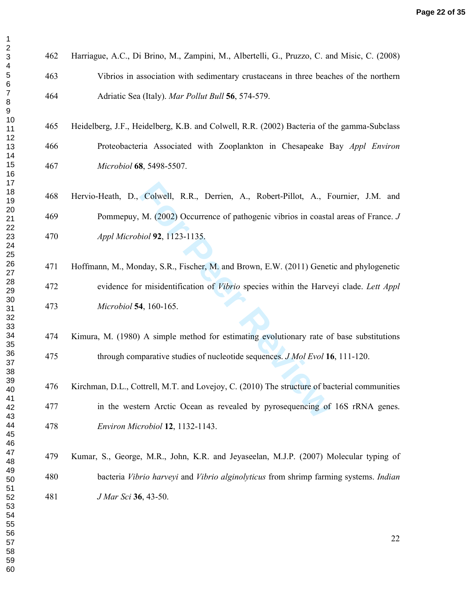$\mathbf{1}$ 

462 Harriague, A.C., Di Brino, M., Zampini, M., Albertelli, G., Pruzzo, C. and Misic, C. (2008) 463 Vibrios in association with sedimentary crustaceans in three beaches of the northern 464 Adriatic Sea (Italy). *Mar Pollut Bull* **56**, 574-579.

465 Heidelberg, J.F., Heidelberg, K.B. and Colwell, R.R. (2002) Bacteria of the gamma-Subclass 466 Proteobacteria Associated with Zooplankton in Chesapeake Bay *Appl Environ Microbiol* **68**, 5498-5507.

468 Hervio-Heath, D., Colwell, R.R., Derrien, A., Robert-Pillot, A., Fournier, J.M. and 469 Pommepuy, M. (2002) Occurrence of pathogenic vibrios in coastal areas of France. *J Appl Microbiol* **92**, 1123-1135.

Colwell, R.R., Derrien, A., Robert-Pillot, A., F<br> *M.* (2002) Occurrence of pathogenic vibrios in coasta<br> *iol* **92**, 1123-1135.<br>
Inday, S.R., Fischer, M. and Brown, E.W. (2011) Genet<br> **Functionary S.R., Fischer, M. and Br** 471 Hoffmann, M., Monday, S.R., Fischer, M. and Brown, E.W. (2011) Genetic and phylogenetic 472 evidence for misidentification of *Vibrio* species within the Harveyi clade. *Lett Appl Microbiol* **54**, 160-165.

474 Kimura, M. (1980) A simple method for estimating evolutionary rate of base substitutions 475 through comparative studies of nucleotide sequences. *J Mol Evol* **16**, 111-120.

476 Kirchman, D.L., Cottrell, M.T. and Lovejoy, C. (2010) The structure of bacterial communities 477 in the western Arctic Ocean as revealed by pyrosequencing of 16S rRNA genes. *Environ Microbiol* **12**, 1132-1143.

479 Kumar, S., George, M.R., John, K.R. and Jeyaseelan, M.J.P. (2007) Molecular typing of 480 bacteria *Vibrio harveyi* and *Vibrio alginolyticus* from shrimp farming systems. *Indian J Mar Sci* **36**, 43-50.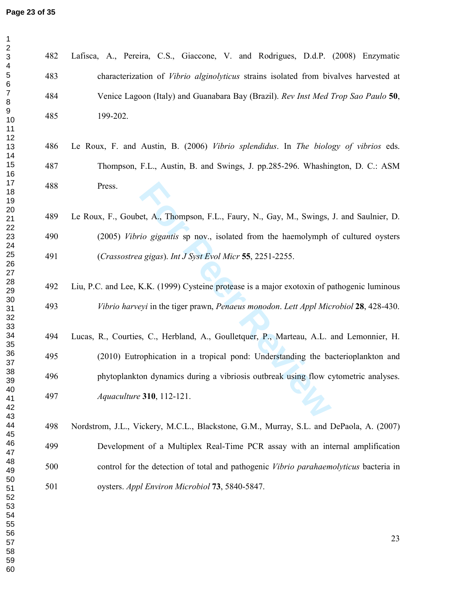$\begin{bmatrix} 7 \\ 8 \end{bmatrix}$  $\boldsymbol{9}$ 

2<br>3<br>4<br>5<br>6<br>6

 $\mathbf 1$ 

| 482 | Lafisca, A., Pereira, C.S., Giaccone, V. and Rodrigues, D.d.P. (2008) Enzymatic             |
|-----|---------------------------------------------------------------------------------------------|
| 483 | characterization of <i>Vibrio alginolyticus</i> strains isolated from bivalves harvested at |
| 484 | Venice Lagoon (Italy) and Guanabara Bay (Brazil). Rev Inst Med Trop Sao Paulo 50,           |
| 485 | 199-202.                                                                                    |
| 486 | Le Roux, F. and Austin, B. (2006) Vibrio splendidus. In The biology of vibrios eds.         |
| 487 | Thompson, F.L., Austin, B. and Swings, J. pp.285-296. Whashington, D. C.: ASM               |
| 488 | Press.                                                                                      |
| 489 | Le Roux, F., Goubet, A., Thompson, F.L., Faury, N., Gay, M., Swings, J. and Saulnier, D.    |
| 490 | (2005) Vibrio gigantis sp nov., isolated from the haemolymph of cultured oysters            |
| 491 | (Crassostrea gigas). Int J Syst Evol Micr 55, 2251-2255.                                    |
| 492 | Liu, P.C. and Lee, K.K. (1999) Cysteine protease is a major exotoxin of pathogenic luminous |
| 493 | Vibrio harveyi in the tiger prawn, Penaeus monodon. Lett Appl Microbiol 28, 428-430.        |
| 494 | Lucas, R., Courties, C., Herbland, A., Goulletquer, P., Marteau, A.L. and Lemonnier, H.     |
| 495 | (2010) Eutrophication in a tropical pond: Understanding the bacterioplankton and            |
| 496 | phytoplankton dynamics during a vibriosis outbreak using flow cytometric analyses.          |
| 497 | Aquaculture 310, 112-121.                                                                   |
| 498 | Nordstrom, J.L., Vickery, M.C.L., Blackstone, G.M., Murray, S.L. and DePaola, A. (2007)     |
| 499 | Development of a Multiplex Real-Time PCR assay with an internal amplification               |
| 500 | control for the detection of total and pathogenic Vibrio parahaemolyticus bacteria in       |
| 501 | oysters. Appl Environ Microbiol 73, 5840-5847.                                              |
|     |                                                                                             |
|     | 23                                                                                          |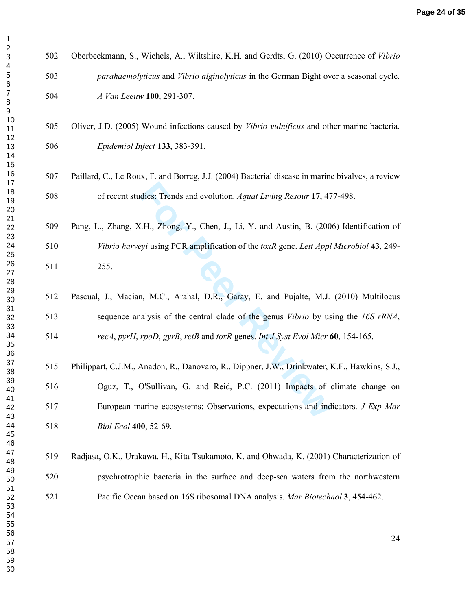| 1                                |   |
|----------------------------------|---|
| 23456                            |   |
|                                  |   |
| 7                                |   |
| 8<br>9<br>10                     |   |
| 11<br>12                         | 5 |
| 13<br>14                         |   |
| 15<br>16                         |   |
| 17<br>18<br>19                   |   |
| 20<br>21<br>22                   |   |
| 23                               | 5 |
| 24<br>25<br>26                   |   |
| 27                               |   |
| 28<br>29                         |   |
| 30<br>31<br>32<br>33<br>34<br>35 |   |
|                                  | 5 |
| 36                               |   |
| 37<br>38                         | 5 |
| 39<br>40                         | 5 |
| 41<br>42<br>43                   | 5 |
| 44<br>45                         |   |
| 46<br>47                         |   |
| 48<br>49                         |   |
| 50<br>51                         |   |
| 52<br>53                         |   |
| 54<br>55                         |   |
| 56<br>57<br>58                   |   |
| 59<br>60                         |   |
|                                  |   |

502 Oberbeckmann, S., Wichels, A., Wiltshire, K.H. and Gerdts, G. (2010) Occurrence of *Vibrio parahaemolyticus* and *Vibrio alginolyticus* in the German Bight over a seasonal cycle. *A Van Leeuw* **100**, 291-307.

505 Oliver, J.D. (2005) Wound infections caused by *Vibrio vulnificus* and other marine bacteria. *Epidemiol Infect* **133**, 383-391.

- 507 Paillard, C., Le Roux, F. and Borreg, J.J. (2004) Bacterial disease in marine bivalves, a review 508 of recent studies: Trends and evolution. *Aquat Living Resour* **17**, 477-498.
- 509 Pang, L., Zhang, X.H., Zhong, Y., Chen, J., Li, Y. and Austin, B. (2006) Identification of *Vibrio harveyi* using PCR amplification of the *toxR* gene. *Lett Appl Microbiol* **43**, 249- 511 255.
- 512 Pascual, J., Macian, M.C., Arahal, D.R., Garay, E. and Pujalte, M.J. (2010) Multilocus 513 sequence analysis of the central clade of the genus *Vibrio* by using the *16S rRNA*, *recA*, *pyrH*, *rpoD*, *gyrB*, *rctB* and *toxR* genes. *Int J Syst Evol Micr* **60**, 154-165.
- dies: Trends and evolution. Aquat Living Resour 17, 47<br> **K.H., Zhong, Y., Chen, J., Li, Y. and Austin, B. (200**<br> *Pyi* using PCR amplification of the *toxR* gene. Lett Appl<br> **n, M.C., Arahal, D.R., Garay, E. and Pujalte, M** 515 Philippart, C.J.M., Anadon, R., Danovaro, R., Dippner, J.W., Drinkwater, K.F., Hawkins, S.J., 516 Oguz, T., O'Sullivan, G. and Reid, P.C. (2011) Impacts of climate change on 517 European marine ecosystems: Observations, expectations and indicators. *J Exp Mar Biol Ecol* **400**, 52-69.
- 519 Radjasa, O.K., Urakawa, H., Kita-Tsukamoto, K. and Ohwada, K. (2001) Characterization of 520 psychrotrophic bacteria in the surface and deep-sea waters from the northwestern 521 Pacific Ocean based on 16S ribosomal DNA analysis. *Mar Biotechnol* **3**, 454-462.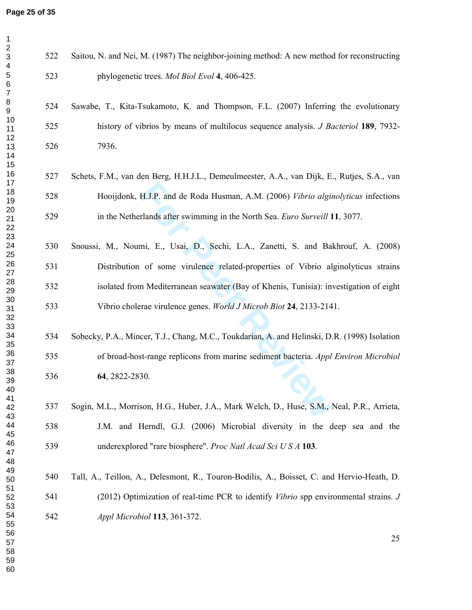$\begin{bmatrix} 7 \\ 8 \end{bmatrix}$  $\mathsf g$ 

2<br>3<br>4<br>5<br>6<br>6

 $\mathbf{1}$ 

| Saitou, N. and Nei, M. (1987) The neighbor-joining method: A new method for reconstructing         | 522 |
|----------------------------------------------------------------------------------------------------|-----|
| phylogenetic trees. Mol Biol Evol 4, 406-425.                                                      | 523 |
| Sawabe, T., Kita-Tsukamoto, K. and Thompson, F.L. (2007) Inferring the evolutionary                | 524 |
| history of vibrios by means of multilocus sequence analysis. <i>J Bacteriol</i> 189, 7932-         | 525 |
| 7936.                                                                                              | 526 |
| Schets, F.M., van den Berg, H.H.J.L., Demeulmeester, A.A., van Dijk, E., Rutjes, S.A., van         | 527 |
| Hooijdonk, H.J.P. and de Roda Husman, A.M. (2006) Vibrio alginolyticus infections                  | 528 |
| in the Netherlands after swimming in the North Sea. Euro Surveill 11, 3077.                        | 529 |
| Snoussi, M., Noumi, E., Usai, D., Sechi, L.A., Zanetti, S. and Bakhrouf, A. (2008)                 | 530 |
| Distribution of some virulence related-properties of Vibrio alginolyticus strains                  | 531 |
| isolated from Mediterranean seawater (Bay of Khenis, Tunisia): investigation of eight              | 532 |
| Vibrio cholerae virulence genes. World J Microb Biot 24, 2133-2141.                                | 533 |
| Sobecky, P.A., Mincer, T.J., Chang, M.C., Toukdarian, A. and Helinski, D.R. (1998) Isolation       | 534 |
| of broad-host-range replicons from marine sediment bacteria. Appl Environ Microbiol                | 535 |
|                                                                                                    |     |
| 64, 2822-2830.                                                                                     | 536 |
| Sogin, M.L., Morrison, H.G., Huber, J.A., Mark Welch, D., Huse, S.M., Neal, P.R., Arrieta,         | 537 |
| J.M. and Herndl, G.J. (2006) Microbial diversity in the deep sea and the                           | 538 |
| underexplored "rare biosphere". Proc Natl Acad Sci US A 103.                                       | 539 |
| Tall, A., Teillon, A., Delesmont, R., Touron-Bodilis, A., Boisset, C. and Hervio-Heath, D.         | 540 |
| (2012) Optimization of real-time PCR to identify <i>Vibrio</i> spp environmental strains. <i>J</i> | 541 |
| Appl Microbiol 113, 361-372.                                                                       | 542 |
| 25                                                                                                 |     |
|                                                                                                    |     |
|                                                                                                    |     |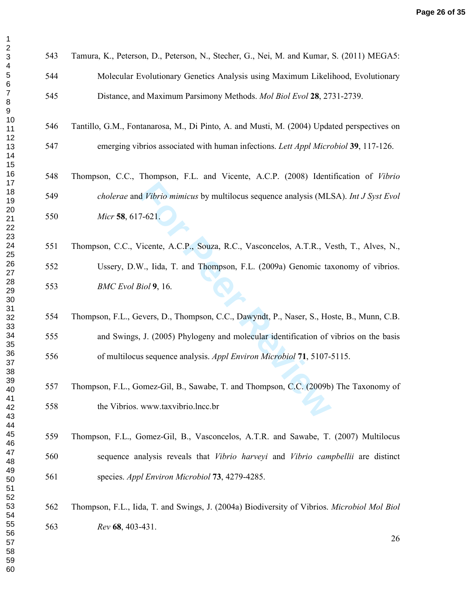| 543<br>Tamura, K., Peterson, D., Peterson, N., Stecher, G., Nei, M. and Kumar, S. (2011) MEGA5:    |    |
|----------------------------------------------------------------------------------------------------|----|
| 544<br>Molecular Evolutionary Genetics Analysis using Maximum Likelihood, Evolutionary             |    |
| 545<br>Distance, and Maximum Parsimony Methods. Mol Biol Evol 28, 2731-2739.                       |    |
| 546<br>Tantillo, G.M., Fontanarosa, M., Di Pinto, A. and Musti, M. (2004) Updated perspectives on  |    |
| emerging vibrios associated with human infections. Lett Appl Microbiol 39, 117-126.<br>547         |    |
| 548<br>Thompson, C.C., Thompson, F.L. and Vicente, A.C.P. (2008) Identification of Vibrio          |    |
| 549<br>cholerae and Vibrio mimicus by multilocus sequence analysis (MLSA). Int J Syst Evol         |    |
| 550<br>Micr 58, 617-621.                                                                           |    |
| Thompson, C.C., Vicente, A.C.P., Souza, R.C., Vasconcelos, A.T.R., Vesth, T., Alves, N.,<br>551    |    |
| Ussery, D.W., Iida, T. and Thompson, F.L. (2009a) Genomic taxonomy of vibrios.<br>552              |    |
| 553<br>BMC Evol Biol 9, 16.                                                                        |    |
| Thompson, F.L., Gevers, D., Thompson, C.C., Dawyndt, P., Naser, S., Hoste, B., Munn, C.B.<br>554   |    |
| 555<br>and Swings, J. (2005) Phylogeny and molecular identification of vibrios on the basis        |    |
| of multilocus sequence analysis. Appl Environ Microbiol 71, 5107-5115.<br>556                      |    |
| Thompson, F.L., Gomez-Gil, B., Sawabe, T. and Thompson, C.C. (2009b) The Taxonomy of<br>557        |    |
| 558<br>the Vibrios. www.taxvibrio.lncc.br                                                          |    |
| 559<br>Thompson, F.L., Gomez-Gil, B., Vasconcelos, A.T.R. and Sawabe, T. (2007) Multilocus         |    |
| 560<br>sequence analysis reveals that Vibrio harveyi and Vibrio campbellii are distinct            |    |
| species. Appl Environ Microbiol 73, 4279-4285.<br>561                                              |    |
| 562<br>Thompson, F.L., Iida, T. and Swings, J. (2004a) Biodiversity of Vibrios. Microbiol Mol Biol |    |
| 563<br>Rev 68, 403-431.                                                                            | 26 |
|                                                                                                    |    |

 $\begin{bmatrix} 7 \\ 8 \end{bmatrix}$  $\boldsymbol{9}$ 

2<br>3<br>4<br>5<br>6<br>6

 $\mathbf 1$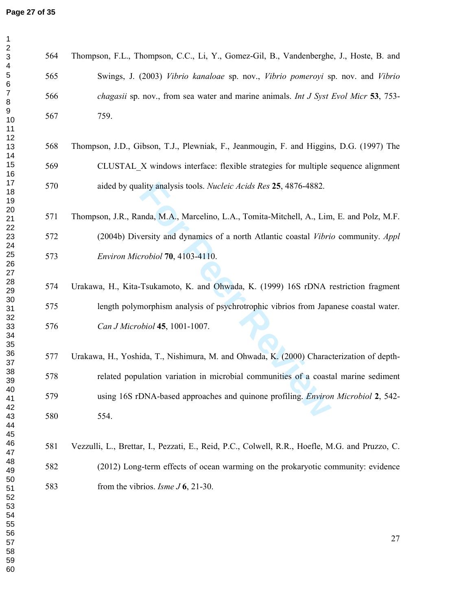2<br>3<br>4<br>5<br>6<br>6

 $\mathbf{1}$ 

| Z<br>564<br>$\ensuremath{\mathsf{3}}$<br>$\overline{\mathbf{4}}$ | Thompson, F.L., Thompson, C.C., Li, Y., Gomez-Gil, B., Vandenberghe, J., Hoste, B. and         |
|------------------------------------------------------------------|------------------------------------------------------------------------------------------------|
| $\sqrt{5}$<br>565<br>$\,6$                                       | Swings, J. (2003) Vibrio kanaloae sp. nov., Vibrio pomeroyi sp. nov. and Vibrio                |
| $\boldsymbol{7}$<br>566<br>$\, 8$                                | chagasii sp. nov., from sea water and marine animals. Int J Syst Evol Micr 53, 753-            |
| $\boldsymbol{9}$<br>567<br>10<br>11                              | 759.                                                                                           |
| 12<br>568<br>13<br>14                                            | Thompson, J.D., Gibson, T.J., Plewniak, F., Jeanmougin, F. and Higgins, D.G. (1997) The        |
| 15<br>569<br>16                                                  | CLUSTAL X windows interface: flexible strategies for multiple sequence alignment               |
| 17<br>570<br>18<br>19                                            | aided by quality analysis tools. Nucleic Acids Res 25, 4876-4882.                              |
| 20<br>571<br>21                                                  | Thompson, J.R., Randa, M.A., Marcelino, L.A., Tomita-Mitchell, A., Lim, E. and Polz, M.F.      |
| 22<br>572<br>23<br>24                                            | (2004b) Diversity and dynamics of a north Atlantic coastal <i>Vibrio</i> community. Appl       |
| 25<br>573<br>26<br>27                                            | Environ Microbiol 70, 4103-4110.                                                               |
| 28<br>574<br>29                                                  | Urakawa, H., Kita-Tsukamoto, K. and Ohwada, K. (1999) 16S rDNA restriction fragment            |
| 30<br>575<br>31                                                  | length polymorphism analysis of psychrotrophic vibrios from Japanese coastal water.            |
| 32<br>576<br>33<br>34                                            | Can J Microbiol 45, 1001-1007.                                                                 |
| 35<br>36<br>577<br>37                                            | Urakawa, H., Yoshida, T., Nishimura, M. and Ohwada, K. (2000) Characterization of depth-       |
| 38<br>578<br>39                                                  | related population variation in microbial communities of a coastal marine sediment             |
| 40<br>579<br>41                                                  | using 16S rDNA-based approaches and quinone profiling. Environ Microbiol 2, 542-               |
| 42<br>580<br>43<br>44                                            | 554.                                                                                           |
| 45<br>46<br>581<br>47                                            | Vezzulli, L., Brettar, I., Pezzati, E., Reid, P.C., Colwell, R.R., Hoefle, M.G. and Pruzzo, C. |
| 48<br>582<br>49                                                  | (2012) Long-term effects of ocean warming on the prokaryotic community: evidence               |
| 50<br>583<br>51<br>52<br>53<br>54                                | from the vibrios. <i>Isme J</i> 6, 21-30.                                                      |
| 55<br>56<br>57<br>58                                             | 27                                                                                             |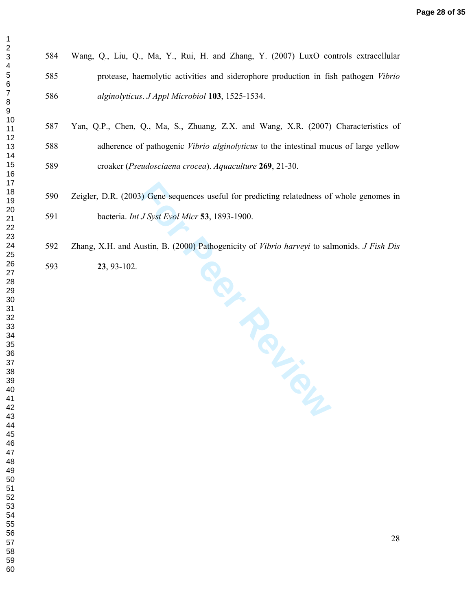| 1                            |
|------------------------------|
| $\overline{c}$               |
|                              |
|                              |
|                              |
|                              |
|                              |
|                              |
|                              |
|                              |
|                              |
|                              |
|                              |
|                              |
|                              |
|                              |
|                              |
|                              |
|                              |
|                              |
|                              |
|                              |
|                              |
|                              |
|                              |
|                              |
|                              |
|                              |
|                              |
|                              |
|                              |
|                              |
|                              |
|                              |
|                              |
|                              |
|                              |
|                              |
|                              |
|                              |
|                              |
|                              |
|                              |
| 40                           |
| 41                           |
| 42                           |
| 43<br>Ś                      |
| 44                           |
| 45                           |
| 46                           |
| 47                           |
|                              |
| 48                           |
| 49                           |
| 50                           |
| 51                           |
| .<br>52                      |
| Ę<br>$\overline{\mathbf{3}}$ |
| 54                           |
| 55                           |
| 56<br>ć                      |
| 57                           |
|                              |
| 58                           |
| 59                           |
| 60                           |

> 584 Wang, Q., Liu, Q., Ma, Y., Rui, H. and Zhang, Y. (2007) LuxO controls extracellular 585 protease, haemolytic activities and siderophore production in fish pathogen *Vibrio alginolyticus*. *J Appl Microbiol* **103**, 1525-1534.

# 587 Yan, Q.P., Chen, Q., Ma, S., Zhuang, Z.X. and Wang, X.R. (2007) Characteristics of 588 adherence of pathogenic *Vibrio alginolyticus* to the intestinal mucus of large yellow 589 croaker (*Pseudosciaena crocea*). *Aquaculture* **269**, 21-30.

- 590 Zeigler, D.R. (2003) Gene sequences useful for predicting relatedness of whole genomes in 591 bacteria. *Int J Syst Evol Micr* **53**, 1893-1900.
- **Periodic Reviews** 592 Zhang, X.H. and Austin, B. (2000) Pathogenicity of *Vibrio harveyi* to salmonids. *J Fish Dis*
- **23**, 93-102.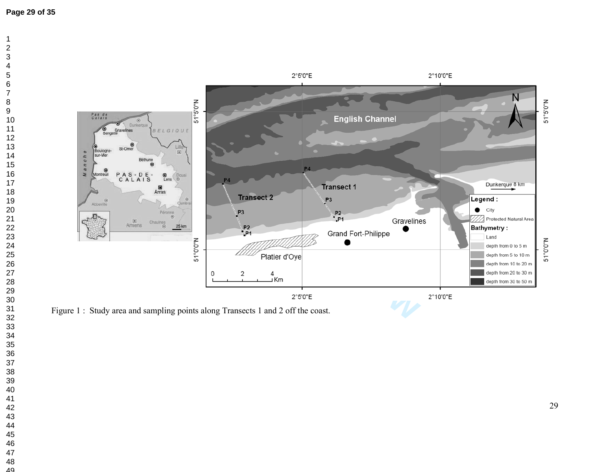



Figure 1 : Study area and sampling points along Transects 1 and 2 off the coast.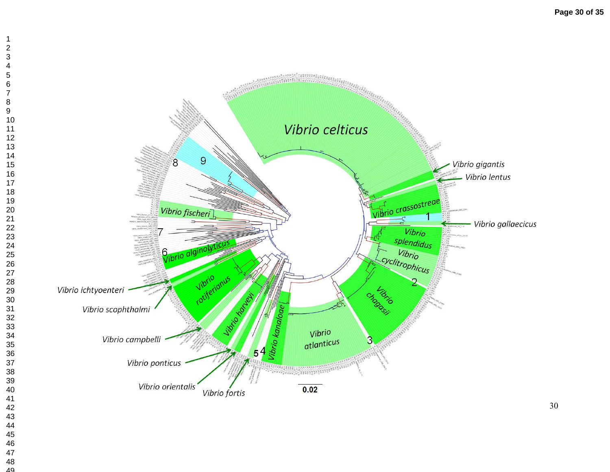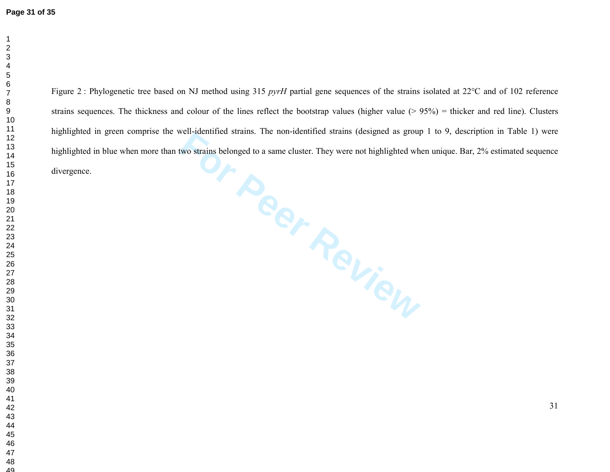For Puer Puer Reviewer Strains belonged to a same cluster. They were not highlighted whose strains belonged to a same cluster. They were not highlighted whose strains belonged to a same cluster. They were not highlighted w Figure 2 : Phylogenetic tree based on NJ method using 315 *pyrH* partial gene sequences of the strains isolated at 22°C and of 102 reference strains sequences. The thickness and colour of the lines reflect the bootstrap values (higher value (> 95%) = thicker and red line). Clusters highlighted in green comprise the well-identified strains. The non-identified strains (designed as group 1 to 9, description in Table 1) were highlighted in blue when more than two strains belonged to a same cluster. They were not highlighted when unique. Bar, 2% estimated sequence divergence.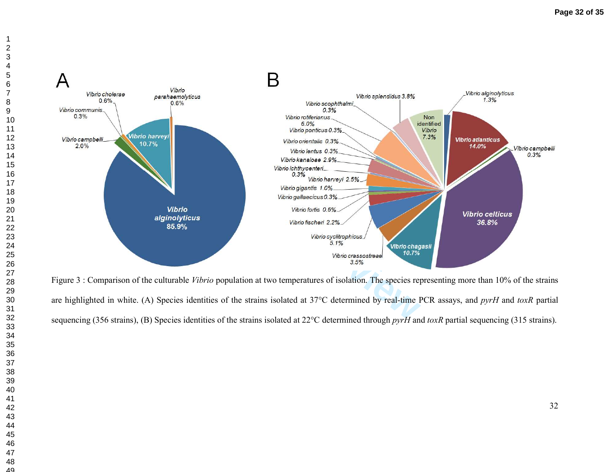



Figure 3 : Comparison of the culturable *Vibrio* population at two temperatures of isolation. The species representing more than 10% of the strains are highlighted in white. (A) Species identities of the strains isolated at 37°C determined by real-time PCR assays, and *pyrH* and *toxR* partial sequencing (356 strains), (B) Species identities of the strains isolated at 22°C determined through *pyrH* and *toxR* partial sequencing (315 strains).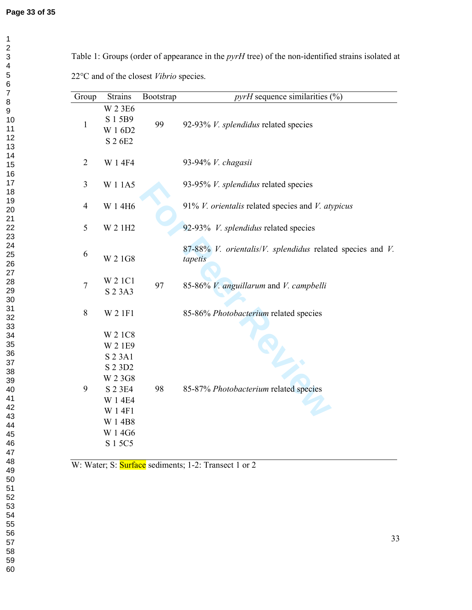Table 1: Groups (order of appearance in the *pyrH* tree) of the non-identified strains isolated at 22°C and of the closest *Vibrio* species.

| Group          | <b>Strains</b>                                                                                                               | Bootstrap | $pyrH$ sequence similarities $(\%)$                                  |
|----------------|------------------------------------------------------------------------------------------------------------------------------|-----------|----------------------------------------------------------------------|
| $\mathbf{1}$   | W 2 3 E6<br>S 1 5 B 9<br>W 1 6D2<br>S 2 6E2                                                                                  | 99        | 92-93% V. splendidus related species                                 |
| $\overline{2}$ | W 1 4F4                                                                                                                      |           | 93-94% V. chagasii                                                   |
| $\mathfrak{Z}$ | W 1 1 A 5                                                                                                                    |           | 93-95% V. splendidus related species                                 |
| $\overline{4}$ | W 1 4H6                                                                                                                      |           | 91% V. orientalis related species and V. atypicus                    |
| 5              | W 2 1H2                                                                                                                      |           | 92-93% V. splendidus related species                                 |
| 6              | W 2 1 G8                                                                                                                     |           | 87-88% V. orientalis/V. splendidus related species and V.<br>tapetis |
| 7              | W 2 1 C1<br>S 2 3 A 3                                                                                                        | 97        | 85-86% V. anguillarum and V. campbelli                               |
| 8              | W 2 1F1                                                                                                                      |           | 85-86% Photobacterium related species                                |
| 9              | W 2 1C8<br>W 2 1E9<br>S 2 3 A 1<br>S 2 3 D 2<br>W 2 3 G8<br>S 2 3 E4<br>W 1 4E4<br>W 14F1<br>W 1 4B8<br>W 1 4 G 6<br>S 1 5C5 | 98        | 85-87% Photobacterium related species                                |

W: Water; S: **Surface** sediments; 1-2: Transect 1 or 2